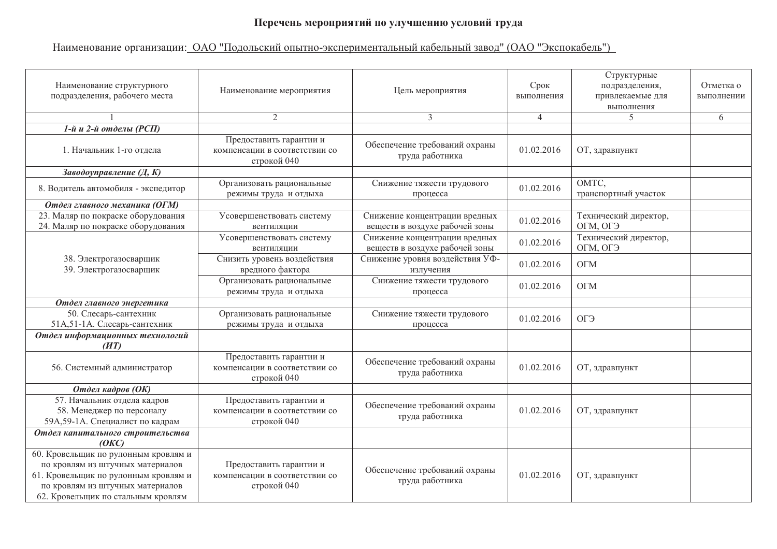## Перечень мероприятий по улучшению условий труда

## Наименование организации: ОАО "Подольский опытно-экспериментальный кабельный завод" (ОАО "Экспокабель")

| Наименование структурного<br>подразделения, рабочего места                                                                                                                                 | Наименование мероприятия                                                | Цель мероприятия                                                | Срок<br>выполнения | Структурные<br>подразделения,<br>привлекаемые для<br>выполнения | Отметка о<br>выполнении |
|--------------------------------------------------------------------------------------------------------------------------------------------------------------------------------------------|-------------------------------------------------------------------------|-----------------------------------------------------------------|--------------------|-----------------------------------------------------------------|-------------------------|
|                                                                                                                                                                                            | $\overline{2}$                                                          | 3                                                               | $\overline{4}$     | 5                                                               | 6                       |
| 1-й и 2-й отделы (РСП)                                                                                                                                                                     |                                                                         |                                                                 |                    |                                                                 |                         |
| 1. Начальник 1-го отдела                                                                                                                                                                   | Предоставить гарантии и<br>компенсации в соответствии со<br>строкой 040 | Обеспечение требований охраны<br>труда работника                | 01.02.2016         | ОТ, здравпункт                                                  |                         |
| Заводоуправление (Д, К)                                                                                                                                                                    |                                                                         |                                                                 |                    |                                                                 |                         |
| 8. Водитель автомобиля - экспедитор                                                                                                                                                        | Организовать рациональные<br>режимы труда и отдыха                      | Снижение тяжести трудового<br>процесса                          | 01.02.2016         | OMTC,<br>транспортный участок                                   |                         |
| Отдел главного механика (ОГМ)                                                                                                                                                              |                                                                         |                                                                 |                    |                                                                 |                         |
| 23. Маляр по покраске оборудования<br>24. Маляр по покраске оборудования                                                                                                                   | Усовершенствовать систему<br>вентиляции                                 | Снижение концентрации вредных<br>веществ в воздухе рабочей зоны | 01.02.2016         | Технический директор,<br>ОГМ, ОГЭ                               |                         |
|                                                                                                                                                                                            | Усовершенствовать систему<br>вентиляции                                 | Снижение концентрации вредных<br>веществ в воздухе рабочей зоны | 01.02.2016         | Технический директор,<br>ОГМ, ОГЭ                               |                         |
| 38. Электрогазосварщик<br>39. Электрогазосварщик                                                                                                                                           | Снизить уровень воздействия<br>вредного фактора                         | Снижение уровня воздействия УФ-<br>излучения                    | 01.02.2016         | <b>OFM</b>                                                      |                         |
|                                                                                                                                                                                            | Организовать рациональные<br>режимы труда и отдыха                      | Снижение тяжести трудового<br>процесса                          | 01.02.2016         | <b>OFM</b>                                                      |                         |
| Отдел главного энергетика                                                                                                                                                                  |                                                                         |                                                                 |                    |                                                                 |                         |
| 50. Слесарь-сантехник<br>51А,51-1А. Слесарь-сантехник                                                                                                                                      | Организовать рациональные<br>режимы труда и отдыха                      | Снижение тяжести трудового<br>процесса                          | 01.02.2016         | ОГЭ                                                             |                         |
| Отдел информационных технологий<br>(HT)                                                                                                                                                    |                                                                         |                                                                 |                    |                                                                 |                         |
| 56. Системный администратор                                                                                                                                                                | Предоставить гарантии и<br>компенсации в соответствии со<br>строкой 040 | Обеспечение требований охраны<br>труда работника                | 01.02.2016         | ОТ, здравпункт                                                  |                         |
| Отдел кадров (ОК)                                                                                                                                                                          |                                                                         |                                                                 |                    |                                                                 |                         |
| 57. Начальник отдела кадров<br>58. Менеджер по персоналу<br>59А, 59-1А. Специалист по кадрам                                                                                               | Предоставить гарантии и<br>компенсации в соответствии со<br>строкой 040 | Обеспечение требований охраны<br>труда работника                | 01.02.2016         | ОТ, здравпункт                                                  |                         |
| Отдел капитального строительства<br>(OKC)                                                                                                                                                  |                                                                         |                                                                 |                    |                                                                 |                         |
| 60. Кровельщик по рулонным кровлям и<br>по кровлям из штучных материалов<br>61. Кровельщик по рулонным кровлям и<br>по кровлям из штучных материалов<br>62. Кровельщик по стальным кровлям | Предоставить гарантии и<br>компенсации в соответствии со<br>строкой 040 | Обеспечение требований охраны<br>труда работника                | 01.02.2016         | ОТ, здравпункт                                                  |                         |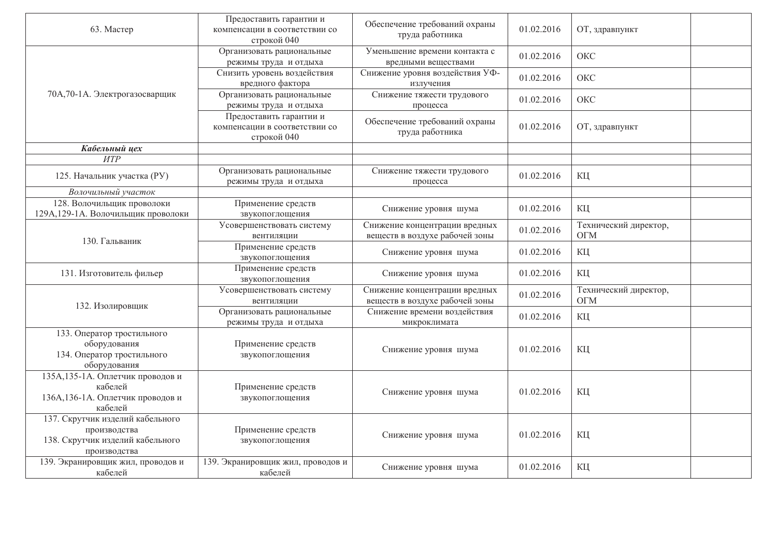| 63. Мастер                                                                                           | Предоставить гарантии и<br>компенсации в соответствии со<br>строкой 040 | Обеспечение требований охраны<br>труда работника                | 01.02.2016 | ОТ, здравпункт                      |
|------------------------------------------------------------------------------------------------------|-------------------------------------------------------------------------|-----------------------------------------------------------------|------------|-------------------------------------|
|                                                                                                      | Организовать рациональные<br>режимы труда и отдыха                      | Уменьшение времени контакта с<br>вредными веществами            | 01.02.2016 | OKC                                 |
| 70А, 70-1А. Электрогазосварщик                                                                       | Снизить уровень воздействия<br>вредного фактора                         | Снижение уровня воздействия УФ-<br>излучения                    | 01.02.2016 | OKC                                 |
|                                                                                                      | Организовать рациональные<br>режимы труда и отдыха                      | Снижение тяжести трудового<br>процесса                          | 01.02.2016 | OKC                                 |
|                                                                                                      | Предоставить гарантии и<br>компенсации в соответствии со<br>строкой 040 | Обеспечение требований охраны<br>труда работника                | 01.02.2016 | ОТ, здравпункт                      |
| Кабельный цех                                                                                        |                                                                         |                                                                 |            |                                     |
| <b>HTP</b>                                                                                           |                                                                         |                                                                 |            |                                     |
| 125. Начальник участка (РУ)                                                                          | Организовать рациональные<br>режимы труда и отдыха                      | Снижение тяжести трудового<br>процесса                          | 01.02.2016 | КЦ                                  |
| Волочильный участок                                                                                  |                                                                         |                                                                 |            |                                     |
| 128. Волочильщик проволоки<br>129А, 129-1А. Волочильщик проволоки                                    | Применение средств<br>звукопоглощения                                   | Снижение уровня шума                                            | 01.02.2016 | КЦ                                  |
| 130. Гальваник                                                                                       | Усовершенствовать систему<br>вентиляции                                 | Снижение концентрации вредных<br>веществ в воздухе рабочей зоны | 01.02.2016 | Технический директор,<br><b>OFM</b> |
|                                                                                                      | Применение средств<br>звукопоглощения                                   | Снижение уровня шума                                            | 01.02.2016 | КЦ                                  |
| 131. Изготовитель фильер                                                                             | Применение средств<br>звукопоглощения                                   | Снижение уровня шума                                            | 01.02.2016 | КЦ                                  |
| 132. Изолировщик                                                                                     | Усовершенствовать систему<br>вентиляции                                 | Снижение концентрации вредных<br>веществ в воздухе рабочей зоны | 01.02.2016 | Технический директор,<br><b>OFM</b> |
|                                                                                                      | Организовать рациональные<br>режимы труда и отдыха                      | Снижение времени воздействия<br>микроклимата                    | 01.02.2016 | КЦ                                  |
| 133. Оператор тростильного<br>оборудования<br>134. Оператор тростильного<br>оборудования             | Применение средств<br>звукопоглощения                                   | Снижение уровня шума                                            | 01.02.2016 | КЦ                                  |
| 135А, 135-1А. Оплетчик проводов и<br>кабелей<br>136А, 136-1А. Оплетчик проводов и<br>кабелей         | Применение средств<br>звукопоглощения                                   | Снижение уровня шума                                            | 01.02.2016 | КЦ                                  |
| 137. Скрутчик изделий кабельного<br>производства<br>138. Скрутчик изделий кабельного<br>производства | Применение средств<br>звукопоглощения                                   | Снижение уровня шума                                            | 01.02.2016 | КЦ                                  |
| 139. Экранировщик жил, проводов и<br>кабелей                                                         | 139. Экранировщик жил, проводов и<br>кабелей                            | Снижение уровня шума                                            | 01.02.2016 | КЦ                                  |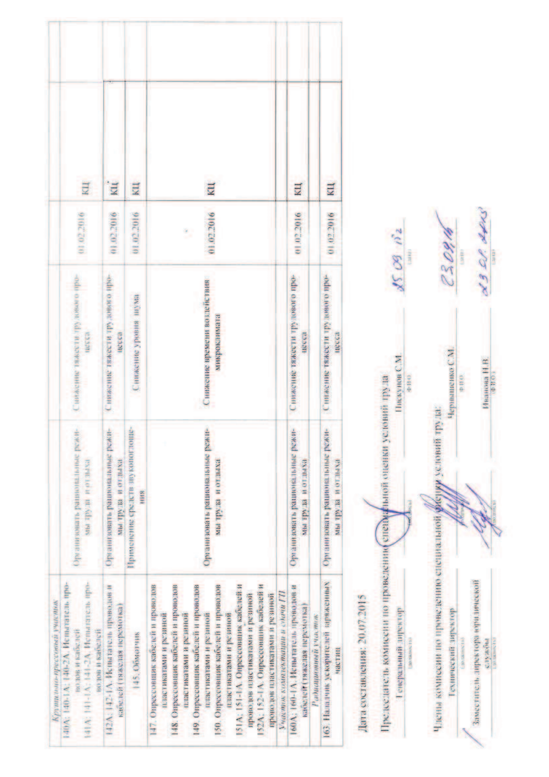|                               | E                                                                                                                    | $\overline{u}$                                                     | КЦ                                        | E                                                                                                                                                                                                                                                                                                                                                                                                                    |                                     | Щ                                                                  |                      | E                                                    |
|-------------------------------|----------------------------------------------------------------------------------------------------------------------|--------------------------------------------------------------------|-------------------------------------------|----------------------------------------------------------------------------------------------------------------------------------------------------------------------------------------------------------------------------------------------------------------------------------------------------------------------------------------------------------------------------------------------------------------------|-------------------------------------|--------------------------------------------------------------------|----------------------|------------------------------------------------------|
|                               | 0102.2016                                                                                                            | 9102.2016                                                          | 01.02.2016                                | 01.02.2016<br>ž,                                                                                                                                                                                                                                                                                                                                                                                                     |                                     | 01.02.2016                                                         |                      | 01,02,2016                                           |
|                               | -офи о выстание также также про-<br><b>NUCES &amp;</b>                                                               | С нижение тяжести трудового про-<br>несса                          | Синжение уровня шума                      | Снижение времени воздействия<br>микроканмата                                                                                                                                                                                                                                                                                                                                                                         |                                     | С вижение тяжести трудового про-<br>mocca                          |                      | С нижение тяжести трудового про-<br><b>IRCCC3</b>    |
|                               | Организовать рациональные режи-<br>receive to a messle easy                                                          | Организовать рациональные режи-<br>uxentino a muscla, env          | Применение средств звукопоглоше-<br>HILLS | Организовать рациональные режи-<br>вхипто и вгот них                                                                                                                                                                                                                                                                                                                                                                 |                                     | Организовать рациональные режи-<br>us rat to a grada ma-           |                      | Срганизовать рациональные режи-<br>ка труда и отлыха |
| Крутияльно-прессежна участиях | 140А; 140-1А; 140-2А. Испытатель про-<br>141A: 141-1A: 144-2A. Испыватель про-<br>водов и каослей<br>водов и карслей | 142А: 142-1А. Испытатель проводов и<br>карелей (тяжелая перемотка) | 145. Обмотчик                             | 147. Опрессовник кабелен и проводов<br>148. Опрессовник кабелен и проводов<br>149. Опрессовник кабелей и проводов<br>151A: 151-1A. Опрессовник кабелей и<br>152A: 152-1A: Опрессовшик кабелей и<br>150. Опрессовшик кабелей и проводов<br>проводов иластикатами и резиной<br>пронолов пластикатами и резиной<br>пластикатами и резиной<br>пластикатами и резиной<br>пластикатами и реанной<br>пластикатами и резиной | IZ manoe n unimuscumentos semestros | 160А; 160-1А; Испытатель проводов и<br>кабелей (тяжелая персмотка) | Радиационный участью | 163. Нападчик ускорителей заряженных<br>частии       |